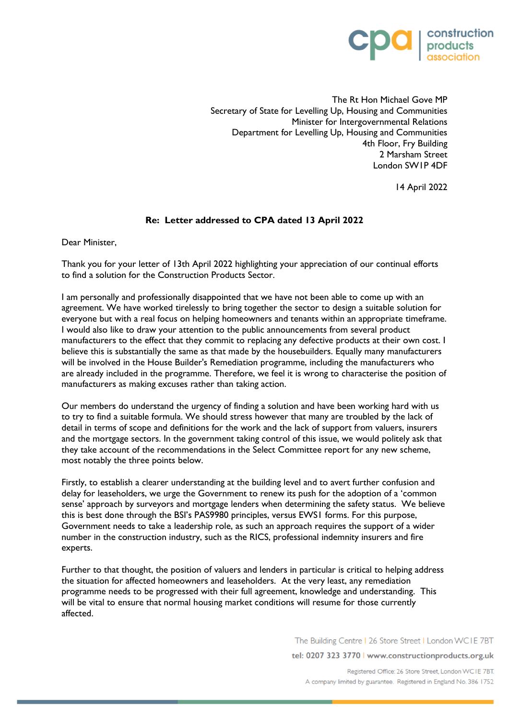

The Rt Hon Michael Gove MP Secretary of State for Levelling Up, Housing and Communities Minister for Intergovernmental Relations Department for Levelling Up, Housing and Communities 4th Floor, Fry Building 2 Marsham Street London SW1P 4DF

14 April 2022

## **Re: Letter addressed to CPA dated 13 April 2022**

Dear Minister,

Thank you for your letter of 13th April 2022 highlighting your appreciation of our continual efforts to find a solution for the Construction Products Sector.

I am personally and professionally disappointed that we have not been able to come up with an agreement. We have worked tirelessly to bring together the sector to design a suitable solution for everyone but with a real focus on helping homeowners and tenants within an appropriate timeframe. I would also like to draw your attention to the public announcements from several product manufacturers to the effect that they commit to replacing any defective products at their own cost. I believe this is substantially the same as that made by the housebuilders. Equally many manufacturers will be involved in the House Builder's Remediation programme, including the manufacturers who are already included in the programme. Therefore, we feel it is wrong to characterise the position of manufacturers as making excuses rather than taking action.

Our members do understand the urgency of finding a solution and have been working hard with us to try to find a suitable formula. We should stress however that many are troubled by the lack of detail in terms of scope and definitions for the work and the lack of support from valuers, insurers and the mortgage sectors. In the government taking control of this issue, we would politely ask that they take account of the recommendations in the Select Committee report for any new scheme, most notably the three points below.

Firstly, to establish a clearer understanding at the building level and to avert further confusion and delay for leaseholders, we urge the Government to renew its push for the adoption of a 'common sense' approach by surveyors and mortgage lenders when determining the safety status. We believe this is best done through the BSI's PAS9980 principles, versus EWS1 forms. For this purpose, Government needs to take a leadership role, as such an approach requires the support of a wider number in the construction industry, such as the RICS, professional indemnity insurers and fire experts.

Further to that thought, the position of valuers and lenders in particular is critical to helping address the situation for affected homeowners and leaseholders. At the very least, any remediation programme needs to be progressed with their full agreement, knowledge and understanding. This will be vital to ensure that normal housing market conditions will resume for those currently affected.

The Building Centre | 26 Store Street | London WCIE 7BT

tel: 0207 323 3770 | www.constructionproducts.org.uk

Registered Office: 26 Store Street, London WCIE 7BT. A company limited by guarantee. Registered in England No. 386 1752